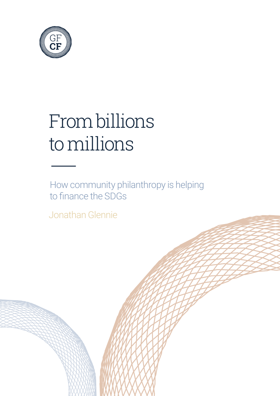

# From billions to millions —

How community philanthropy is helping to finance the SDGs

Jonathan Glennie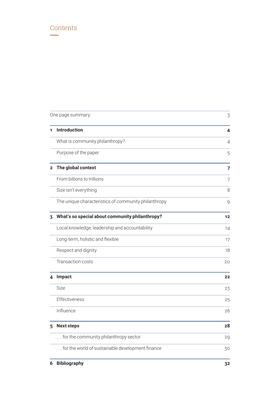### <span id="page-1-0"></span>Contents  **—**

| One page summary | 3                                                    |    |
|------------------|------------------------------------------------------|----|
| 1                | <b>Introduction</b>                                  | 4  |
|                  | What is community philanthropy?                      | 4  |
|                  | Purpose of the paper                                 | 5  |
| $\mathbf{2}$     | The global context                                   | 7  |
|                  | From billions to trillions                           | 7  |
|                  | Size isn't everything                                | 8  |
|                  | The unique characteristics of community philanthropy | 9  |
| 3                | What's so special about community philanthropy?      | 12 |
|                  | Local knowledge, leadership and accountability       | 14 |
|                  | Long-term, holistic and flexible                     | 17 |
|                  | Respect and dignity                                  | 18 |
|                  | Transaction costs                                    | 20 |
| 4                | Impact                                               | 22 |
|                  | <b>Size</b>                                          | 23 |
|                  | Effectiveness                                        | 25 |
|                  | Influence                                            | 26 |
| 5                | <b>Next steps</b>                                    | 28 |
|                  | for the community philanthropy sector                | 29 |
|                  | for the world of sustainable development finance     | 30 |
| 6                | <b>Bibliography</b>                                  | 32 |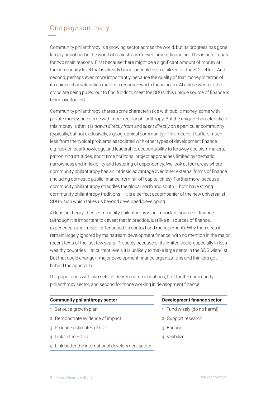### <span id="page-2-0"></span>One page summary **—**

Community philanthropy is a growing sector across the world, but its progress has gone largely unnoticed in the world of mainstream 'development financing.' This is unfortunate for two main reasons. First because there might be a significant amount of money at the community level that is already being, or could be, mobilized for the SDG effort. And second, perhaps even more importantly, because the quality of that money in terms of its unique characteristics make it a resource worth focusing on. At a time when all the stops are being pulled out to find funds to meet the SDGs, this unique source of finance is being overlooked.

Community philanthropy shares some characteristics with public money, some with private money, and some with more regular philanthropy. But the unique characteristic of this money is that it is *drawn directly from* and *spent directly* on a particular community (typically, but not exclusively, a geographical community). This means it suffers much less from the typical problems associated with other types of development finance e.g. lack of local knowledge and leadership, accountability to faraway decision-makers, patronizing attitudes, short time horizons, project approaches limited by thematic narrowness and inflexibility and fostering of dependency. We look at four areas where community philanthropy has an intrinsic advantage over other external forms of finance (including domestic public finance from far‑off capital cities). Furthermore, because community philanthropy straddles the global north and south – both have strong community philanthropy traditions – it is a perfect accompanier of the new universalist SDG vision which takes us beyond developed/developing.

At least in theory, then, community philanthropy is an important source of finance (although it is important to caveat that in practice, just like all sources of finance, experiences and impact differ based on context and management). Why then does it remain largely ignored by mainstream development finance, with no mention in the major recent texts of the last few years. Probably because of its limited scale, especially in less wealthy countries – at current levels it is unlikely to make large dents in the SDG wish-list. But that could change if major development finance organizations and thinkers got behind the approach.

The paper ends with two sets of ideas/recommendations, first for the community philanthropy sector, and second for those working in development finance:

#### **Community philanthropy sector Development finance sector**

- 
- **2** Demonstrate evidence of impact **2** Support research
- **3** Produce estimates of size **3** Engage
- **4** Link to the SDGs **4** Visibilize
- **5** Link better the international development sector

## **1** Set out a growth plan **1 1** Fund wisely (do no harm!)

- 
- 
-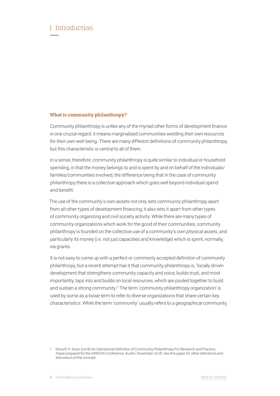### <span id="page-3-0"></span>1 Introduction  **—**

#### **What is community philanthropy?**

Community philanthropy is unlike any of the myriad other forms of development finance in one crucial regard: it means marginalized communities wielding *their own* resources for *their own* well-being. There are many different definitions of community philanthropy, but this characteristic is central to all of them.

In a sense, therefore, community philanthropy is quite similar to individual or household spending, in that the money belongs to and is spent by and on behalf of the individuals/ families/communities involved, the difference being that in the case of community philanthropy there is a collective approach which goes well beyond individual spend and benefit.

The use of the community's own assets not only sets community philanthropy apart from all other types of development financing, it also sets it apart from other types of community organizing and civil society activity. While there are many types of community organizations which work for the good of their communities, community philanthropy is founded on the collective use of a community's own *physical* assets, and particularly its money (i.e. not just capacities and knowledge) which is spent, normally, via grants.

It is not easy to come up with a perfect or commonly accepted definition of community philanthropy, but a recent attempt has it that community philanthropy is, 'locally driven development that strengthens community capacity and voice, builds trust, and most importantly, taps into and builds on local resources, which are pooled together to build and sustain a strong community.'1 The term 'community philanthropy organization' is used by some as a loose term to refer to diverse organizations that share certain key characteristics. While the term 'community' usually refers to a geographical community,

<sup>1</sup> Dana R.H. Doan (2018) An Operational Definition of Community Philanthropy For Research and Practice, Paper prepared for the ARNOVA Conference. Austin, November 2018. See this paper for other definitions and discussion of the concept.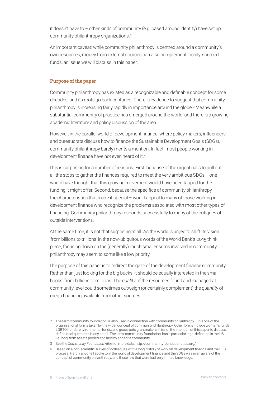<span id="page-4-0"></span>it doesn't have to – other kinds of community (e.g. based around identity) have set up community philanthropy organizations.2

An important caveat: while community philanthropy is centred around a community's own resources, money from external sources can also complement locally‑sourced funds, an issue we will discuss in this paper.

#### **Purpose of the paper**

Community philanthropy has existed as a recognizable and definable concept for some decades, and its roots go back centuries. There is evidence to suggest that community philanthropy is increasing fairly rapidly in importance around the globe.<sup>3</sup> Meanwhile a substantial community of practice has emerged around the world, and there is a growing academic literature and policy discussion of the area.

However, in the parallel world of development finance, where policy makers, influencers and bureaucrats discuss how to finance the Sustainable Development Goals (SDGs), community philanthropy barely merits a mention. In fact, most people working in development finance have not even heard of it.4

This is surprising for a number of reasons. First, because of the urgent calls to pull out all the stops to gather the finances required to meet the very ambitious SDGs – one would have thought that this growing movement would have been tapped for the funding it might offer. Second, because the specifics of community philanthropy – the characteristics that make it special – would appeal to many of those working in development finance who recognize the problems associated with most other types of financing. Community philanthropy responds successfully to many of the critiques of outside interventions.

At the same time, it is not that surprising at all. As the world is urged to shift its vision 'from billions to trillions' in the now‑ubiquitous words of the World Bank's 2015 think piece, focusing down on the (generally) much smaller sums involved in community philanthropy may seem to some like a low priority.

The purpose of this paper is to redirect the gaze of the development finance community. Rather than just looking for the big bucks, it should be equally interested in the small bucks: from billions to millions. The *quality* of the resources found and managed at community level could sometimes outweigh (or certainly complement) the *quantity* of mega financing available from other sources.

<sup>2</sup> The term 'community foundation' is also used in connection with community philanthropy – it is one of the organizational forms taken by the wider concept of community philanthropy. Other forms include women's funds, LGBTQI funds, environmental funds, and grassroots grantmakers. It is not the intention of this paper to discuss definitional questions in any detail. The term 'community foundation' has a particular legal definition in the US i.e. long-term assets pooled and held by and for a community.

<sup>3</sup> See the *Community Foundation Atlas* for more data: http://communityfoundationatlas.org/

<sup>4</sup> Based on a non‑scientific survey of colleagues with a long history of work on development finance and the FFD process. Hardly anyone I spoke to in the world of development finance and the SDGs was even aware of the concept of community philanthropy, and those few that were had very limited knowledge.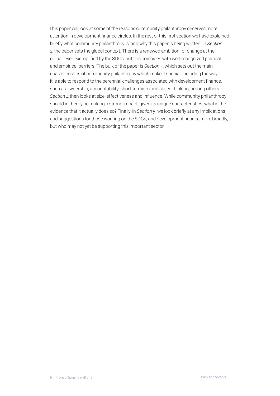This paper will look at some of the reasons community philanthropy deserves more attention in development finance circles. In the rest of this first section we have explained briefly what community philanthropy is, and why this paper is being written. In *Section 2*, the paper sets the global context. There is a renewed ambition for change at the global level, exemplified by the SDGs, but this coincides with well-recognized political and empirical barriers. The bulk of the paper is *Section 3*, which sets out the main characteristics of community philanthropy which make it special, including the way it is able to respond to the perennial challenges associated with development finance, such as ownership, accountability, short-termism and siloed thinking, among others. *Section 4* then looks at size, effectiveness and influence. While community philanthropy should in theory be making a strong impact, given its unique characteristics, what is the evidence that it actually does so? Finally, in *Section 5*, we look briefly at any implications and suggestions for those working on the SDGs, and development finance more broadly, but who may not yet be supporting this important sector.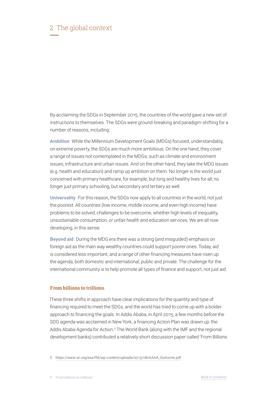### <span id="page-6-0"></span>2 The global context  **—**

By acclaiming the SDGs in September 2015, the countries of the world gave a new set of instructions to themselves. The SDGs were ground-breaking and paradigm-shifting for a number of reasons, including:

**Ambition** While the Millennium Development Goals (MDGs) focused, understandably, on extreme poverty, the SDGs are much more ambitious. On the one hand, they cover a range of issues not contemplated in the MDGs, such as climate and environment issues, infrastructure and urban issues. And on the other hand, they take the MDG issues (e.g. health and education) and ramp up ambition on them. No longer is the world just concerned with primary healthcare, for example, but long and healthy lives for all; no longer just primary schooling, but secondary and tertiary as well.

**Universality** For this reason, the SDGs now apply to all countries in the world, not just the poorest. All countries (low income, middle income, and even high income) have problems to be solved, challenges to be overcome, whether high levels of inequality, unsustainable consumption, or unfair health and education services. We are all now developing, in this sense.

**Beyond aid** During the MDG era there was a strong (and misguided) emphasis on foreign aid as the main way wealthy countries could support poorer ones. Today, aid is considered less important, and a range of other financing measures have risen up the agenda, both domestic and international, public and private. The challenge for the international community is to help promote all types of finance and support, not just aid.

#### **From billions to trillions**

These three shifts in approach have clear implications for the quantity and type of financing required to meet the SDGs, and the world has tried to come up with a bolder approach to financing the goals. In Addis Ababa, in April 2015, a few months before the SDG agenda was acclaimed in New York, a financing Action Plan was drawn up: the Addis Ababa Agenda for Action.5 The World Bank (along with the IMF and the regional development banks) contributed a relatively short discussion paper called 'From Billions

5 https://www.un.org/esa/ffd/wp-content/uploads/2015/08/AAAA\_Outcome.pdf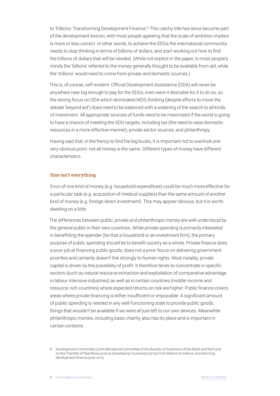<span id="page-7-0"></span>to Trillions: Transforming Development Finance.'6 This catchy title has since become part of the development lexicon, with most people agreeing that the scale of ambition implied is more or less correct. In other words, to achieve the SDGs the international community needs to stop thinking in terms of billions of dollars, and start working out how to find the trillions of dollars that will be needed. (While not explicit in the paper, in most people's minds the 'billions' referred to the money generally thought to be available from aid, while the 'trillions' would need to come from private and domestic sources.)

This is, of course, self‑evident. Official Development Assistance (ODA) will never be anywhere near big enough to pay for the SDGs, even were it desirable for it to do so, so the strong focus on ODA which dominated MDG thinking (despite efforts to move the debate 'beyond aid') does need to be balanced with a widening of the search to all kinds of investment. All appropriate sources of funds need to be maximized if the world is going to have a chance of meeting the SDG targets, including tax (the need to raise domestic resources in a more effective manner), private sector sources, and philanthropy.

Having said that, in the frenzy to find the big bucks, it is important not to overlook one very obvious point: not all money is the same. Different types of money have different characteristics.

#### **Size isn't everything**

\$100 of one kind of money (e.g. household expenditure) could be much more effective for a particular task (e.g. acquisition of medical supplies) than the same amount of another kind of money (e.g. foreign direct investment). This may appear obvious, but it is worth dwelling on a little.

The differences between public, private and philanthropic money are well understood by the general public in their own countries. While private spending is primarily interested in benefitting the spender (be that a household or an investment firm), the primary purpose of public spending should be to benefit society as a whole. Private finance does a poor job at financing public goods, does not a priori focus on delivering government priorities and certainly doesn't link strongly to human rights. Most notably, private capital is driven by the possibility of profit. It therefore tends to concentrate in specific sectors (such as natural resource extraction and exploitation of comparative advantage in labour-intensive industries) as well as in certain countries (middle-income and resource‑rich countries) where expected returns on risk are higher. Public finance covers areas where private financing is either insufficient or impossible. A significant amount of public spending is needed in any well‑functioning state to provide public goods, things that wouldn't be available if we were all just left to our own devices. Meanwhile philanthropic monies, including basic charity, also has its place and is important in certain contexts.

<sup>6</sup> Development Committee (Joint Ministerial Committee of the Boards of Governors of the Bank and the Fund on the Transfer of Real Resources to Developing Countries) (2015) *From billions to trillions: transforming development finance post-2015*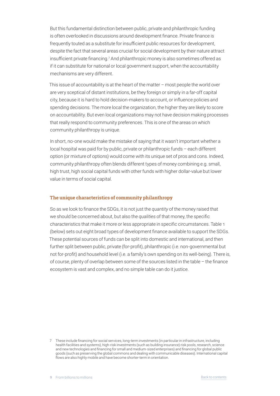<span id="page-8-0"></span>But this fundamental distinction between public, private and philanthropic funding is often overlooked in discussions around development finance. Private finance is frequently touted as a substitute for insufficient public resources for development, despite the fact that several areas crucial for social development by their nature attract insufficient private financing.7 And philanthropic money is also sometimes offered as if it can substitute for national or local government support, when the accountability mechanisms are very different.

This issue of accountability is at the heart of the matter – most people the world over are very sceptical of distant institutions, be they foreign or simply in a far-off capital city, because it is hard to hold decision‑makers to account, or influence policies and spending decisions. The more local the organization, the higher they are likely to score on accountability. But even local organizations may not have decision making processes that really respond to community preferences. This is one of the areas on which community philanthropy is unique.

In short, no-one would make the mistake of saying that it wasn't important whether a local hospital was paid for by public, private or philanthropic funds – each different option (or mixture of options) would come with its unique set of pros and cons. Indeed, community philanthropy often blends different types of money combining e.g. small, high trust, high social capital funds with other funds with higher dollar-value but lower value in terms of social capital.

#### **The unique characteristics of community philanthropy**

So as we look to finance the SDGs, it is not just the *quantity* of the money raised that we should be concerned about, but also the *qualities* of that money, the specific characteristics that make it more or less appropriate in specific circumstances. Table 1 (below) sets out eight broad types of development finance available to support the SDGs. These potential sources of funds can be split into domestic and international, and then further split between public, private (for-profit), philanthropic (i.e. non-governmental but not for-profit) and household level (i.e. a family's own spending on its well-being). There is, of course, plenty of overlap between some of the sources listed in the table – the finance ecosystem is vast and complex, and no simple table can do it justice.

<sup>7</sup> These include financing for social services, long‑term investments (in particular in infrastructure, including health facilities and systems), high-risk investments (such as building insurance) risk pools, research, science and new technologies and financing for small and medium‑sized enterprises) and financing for global public goods (such as preserving the global commons and dealing with communicable diseases). International capital flows are also highly mobile and have become shorter-term in orientation.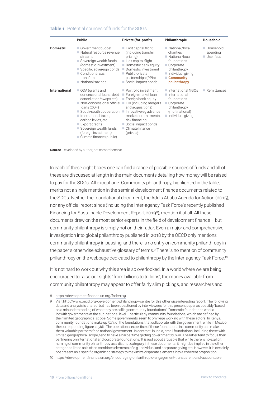#### **Table 1** Potential sources of funds for the SDGs

|                      | <b>Public</b>                                                                                                                                                                                                                                                                                                                                                            | Private (for-profit)                                                                                                                                                                                                                                      | <b>Philanthropic</b>                                                                                                                                     | <b>Household</b>                     |
|----------------------|--------------------------------------------------------------------------------------------------------------------------------------------------------------------------------------------------------------------------------------------------------------------------------------------------------------------------------------------------------------------------|-----------------------------------------------------------------------------------------------------------------------------------------------------------------------------------------------------------------------------------------------------------|----------------------------------------------------------------------------------------------------------------------------------------------------------|--------------------------------------|
| <b>Domestic</b>      | Government budget<br>Natural resource revenue<br>streams<br>Sovereign wealth funds<br>(domestic investment)<br>Specific sovereign bonds<br>Conditional cash<br>transfers<br>National savings                                                                                                                                                                             | $\blacksquare$ Illicit capital flight<br>(including transfer<br>pricing)<br>■ Licit capital flight<br>$\blacksquare$ Domestic bank equity<br>Domestic investment<br>Public-private<br>partnerships (PPIs)<br>Social impact bonds                          | National/local<br>charities<br>National/local<br>foundations<br>Corporate<br>philanthropy<br>Individual giving<br>Community<br>philanthropy              | ■ Household<br>spending<br>User fess |
| <b>International</b> | ODA (grants and<br>concessional loans, debt<br>cancellation/swaps etc)<br>$\blacksquare$ Non-concessional official $\blacksquare$<br>loans (OOF)<br>$\blacksquare$ South-south cooperation $\blacksquare$<br>International taxes,<br>carbon levies, etc<br>$\blacksquare$ Export credits<br>Sovereign wealth funds<br>(foreign investment)<br>■ Climate finance (public) | Portfolio investment<br>Foreign market loan<br>$\blacksquare$ Foreign bank equity<br>FDI (including mergers<br>and acquisitions)<br>Innovative eg advance<br>market commitments,<br>risk financing<br>Social impact bonds<br>Climate finance<br>(private) | $\blacksquare$ International NGOs<br>International<br>foundations<br>Corporate<br><b>College</b><br>philanthropy<br>(multinational)<br>Individual giving | $\blacksquare$ Remittances           |

**Source** Developed by author, not comprehensive

In each of these eight boxes one can find a range of possible sources of funds and all of these are discussed at length in the main documents detailing how money will be raised to pay for the SDGs. All except one. Community philanthropy, highlighted in the table, merits not a single mention in the seminal development finance documents related to the SDGs. Neither the foundational document, the Addis Ababa Agenda for Action (2015), nor any official report since (including the Inter‑agency Task Force's recently published Financing for Sustainable Development Report 20198), mention it at all. All these documents drew on the most senior experts in the field of development finance – but community philanthropy is simply not on their radar. Even a major and comprehensive investigation into global philanthropy published in 2018 by the OECD only mentions community philanthropy in passing, and there is no entry on community philanthropy in the paper's otherwise exhaustive glossary of terms.9 There is no mention of community philanthropy on the webpage dedicated to philanthropy by the Inter-agency Task Force.<sup>10</sup>

It is not hard to work out why this area is so overlooked. In a world where we are being encouraged to raise our sights 'from billions to trillions', the money available from community philanthropy may appear to offer fairly slim pickings, and researchers and

<sup>8</sup> https://developmentfinance.un.org/fsdr2019

<sup>9</sup> Visit http://www.oecd.org/development/philanthropy-centre for this otherwise interesting report. The following data and analysis is shared, but has been questioned by interviewees for this present paper as possibly 'based on a misunderstanding of what they are calling community foundations': 'Domestic foundations work a lot with governments at the sub-national level – particularly community foundations, which are defined by their limited geographical scope. Some governments seem to privilege working with these actors. In Kenya, community foundations make up 50% of the foundations that collaborate with the government, while in Mexico the corresponding figure is 36%. The operational expertise of these foundations in a community can make them valuable partners for a national government. In contrast, in India, small foundations, including those with limited geographical scope, tend to have a harder time getting government buy-in. The latter tend to focus their partnering on international and corporate foundations.' It is just about arguable that while there is no explicit naming of community philanthropy as a distinct category in these documents, it might be implied in the other categories listed as it often combines elements of e.g. individual and corporate giving etc. However, it is certainly not present as a specific organizing strategy to maximize disparate elements into a coherent proposition.

<sup>10</sup> https://developmentfinance.un.org/encouraging-philanthropic-engagement-transparent-and-accountable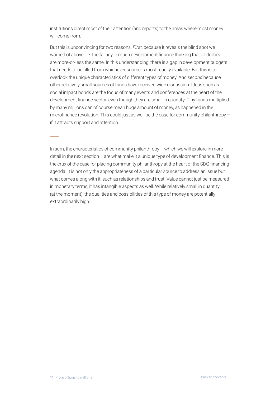institutions direct most of their attention (and reports) to the areas where most money will come from.

But this is unconvincing for two reasons. *First*, because it reveals the blind spot we warned of above, i.e. the fallacy in much development finance thinking that all dollars are more-or-less the same. In this understanding, there is a gap in development budgets that needs to be filled from whichever source is most readily available. But this is to overlook the unique characteristics of different types of money. And *second* because other relatively small sources of funds have received wide discussion. Ideas such as social impact bonds are the focus of many events and conferences at the heart of the development finance sector, even though they are small in quantity. Tiny funds multiplied by many millions can of course mean huge amount of money, as happened in the microfinance revolution. This could just as well be the case for community philanthropy – if it attracts support and attention.

In sum, the characteristics of community philanthropy – which we will explore in more detail in the next section – are what make it a unique type of development finance. This is the crux of the case for placing community philanthropy at the heart of the SDG financing agenda. It is not only the appropriateness of a particular source to address an issue but what comes along with it, such as relationships and trust. Value cannot just be measured in monetary terms; it has intangible aspects as well. While relatively small in quantity (at the moment), the qualities and possibilities of this type of money are potentially extraordinarily high.

 **—**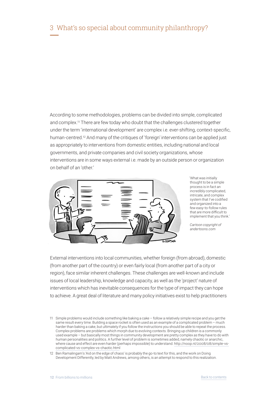<span id="page-11-0"></span>According to some methodologies, problems can be divided into simple, complicated and complex.11 There are few today who doubt that the challenges clustered together under the term 'international development' are complex i.e. ever-shifting, context-specific, human-centred.<sup>12</sup> And many of the critiques of 'foreign' interventions can be applied just as appropriately to interventions from domestic entities, including national and local governments, and private companies and civil society organizations, whose interventions are in some ways external i.e. made by an outside person or organization on behalf of an 'other.'



'What was initially thought to be a simple process is in fact an incredibly complicated, intricate, and complex system that I've codified and organized into a few easy‑to‑follow rules that are more difficult to implement that you think.'

*Cartoon copyright of andertoons.com*

External interventions into local communities, whether foreign (from abroad), domestic (from another part of the country) or even fairly local (from another part of a city or region), face similar inherent challenges. These challenges are well-known and include issues of local leadership, knowledge and capacity, as well as the 'project' nature of interventions which has inevitable consequences for the type of impact they can hope to achieve. A great deal of literature and many policy initiatives exist to help practitioners

<sup>11</sup> Simple problems would include something like baking a cake – follow a relatively simple recipe and you get the same result every time. Building a space rocket is often used as an example of a complicated problem – much harder than baking a cake, but ultimately if you follow the instructions you should be able to repeat the process. Complex problems are problems which morph due to evolving contexts. Bringing up children is a commonly used example – but basically most things in community development are pretty complex as they have to do with human personalities and politics. A further level of problem is sometimes added, namely chaotic or anarchic, where cause and effect are even harder (perhaps impossible) to understand. http://noop.nl/2008/08/simple-vscomplicated-vs-complex-vs-chaotic.html

<sup>12</sup> Ben Ramalingam's 'Aid on the edge of chaos' is probably the go-to text for this, and the work on Doing Development Differently, led by Matt Andrews, among others, is an attempt to respond to this realization.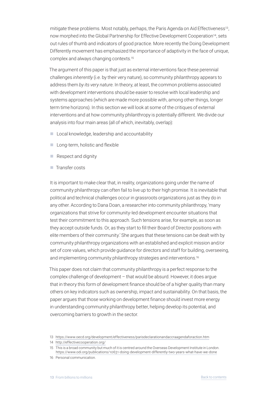mitigate these problems. Most notably, perhaps, the Paris Agenda on Aid Effectiveness<sup>13</sup>, now morphed into the Global Partnership for Effective Development Cooperation14, sets out rules of thumb and indicators of good practice. More recently the Doing Development Differently movement has emphasized the importance of adaptivity in the face of unique, complex and always changing contexts.15

The argument of this paper is that just as external interventions face these perennial challenges *inherently* (i.e. by their very nature), so community philanthropy appears to address them *by its very nature*. In theory, at least, the common problems associated with development interventions should be easier to resolve with local leadership and systems approaches (which are made more possible with, among other things, longer term time horizons). In this section we will look at some of the critiques of external interventions and at how community philanthropy is potentially different. We divide our analysis into four main areas (all of which, inevitably, overlap):

- **n** Local knowledge, leadership and accountability
- $\blacksquare$  Long-term, holistic and flexible
- $\blacksquare$  Respect and dignity
- $\blacksquare$  Transfer costs

It is important to make clear that, in reality, organizations going under the name of community philanthropy can often fail to live up to their high promise. It is inevitable that political and technical challenges occur in grassroots organizations just as they do in any other. According to Dana Doan, a researcher into community philanthropy, 'many organizations that strive for community‑led development encounter situations that test their commitment to this approach. Such tensions arise, for example, as soon as they accept outside funds. Or, as they start to fill their Board of Director positions with elite members of their community.' She argues that these tensions can be dealt with by community philanthropy organizations with an established and explicit mission and/or set of core values, which provide guidance for directors and staff for building, overseeing, and implementing community philanthropy strategies and interventions.<sup>16</sup>

This paper does not claim that community philanthropy is a perfect response to the complex challenge of development – that would be absurd. However, it does argue that in theory this form of development finance should be of a higher quality than many others on key indicators such as ownership, impact and sustainability. On that basis, the paper argues that those working on development finance should invest more energy in understanding community philanthropy better, helping develop its potential, and overcoming barriers to growth in the sector.

<sup>13</sup> https://www.oecd.org/development/effectiveness/parisdeclarationandaccraagendaforaction.htm

<sup>14</sup> http://effectivecooperation.org/

<sup>15</sup> This is a broad community but much of it is centred around the Overseas Development Institute in London. https://www.odi.org/publications/10631-doing-development-differently-two-years-what-have-we-done

<sup>16</sup> Personal communication.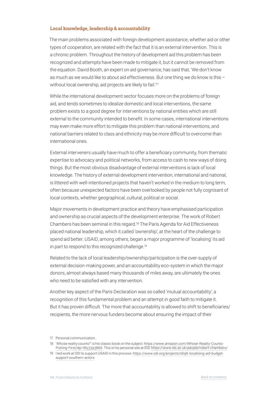#### <span id="page-13-0"></span>**Local knowledge, leadership & accountability**

The main problems associated with foreign development assistance, whether aid or other types of cooperation, are related with the fact that it is an external intervention. This is a chronic problem. Throughout the history of development aid this problem has been recognized and attempts have been made to mitigate it, but it cannot be removed from the equation. David Booth, an expert on aid governance, has said that, 'We don't know as much as we would like to about aid effectiveness. But one thing we do know is this – without local ownership, aid projects are likely to fail.'<sup>17</sup>

While the international development sector focuses more on the problems of foreign aid, and tends sometimes to idealize domestic and local interventions, the same problem exists to a good degree for interventions by national entities which are still external to the community intended to benefit. In some cases, international interventions may even make *more* effort to mitigate this problem than national interventions, and national barriers related to class and ethnicity may be *more* difficult to overcome than international ones.

External interveners usually have much to offer a beneficiary community, from thematic expertise to advocacy and political networks, from access to cash to new ways of doing things. But the most obvious disadvantage of external interventions is lack of local knowledge. The history of external development intervention, international and national, is littered with well-intentioned projects that haven't worked in the medium to long term, often because unexpected factors have been overlooked by people not fully cognisant of local contexts, whether geographical, cultural, political or social.

Major movements in development practice and theory have emphasised participation and ownership as crucial aspects of the development enterprise. The work of Robert Chambers has been seminal in this regard.18 The Paris Agenda for Aid Effectiveness placed national leadership, which it called 'ownership', at the heart of the challenge to spend aid better. USAID, among others, began a major programme of 'localising' its aid in part to respond to this recognized challenge.<sup>19</sup>

Related to the lack of local leadership/ownership/participation is the over-supply of external decision-making power, and an accountability eco-system in which the major donors, almost always based many thousands of miles away, are ultimately the ones who need to be satisfied with any intervention.

Another key aspect of the Paris Declaration was so called 'mutual accountability', a recognition of this fundamental problem and an attempt in good faith to mitigate it. But it has proven difficult. The more that accountability is allowed to shift to beneficiaries/ recipients, the more nervous funders become about ensuring the impact of their

<sup>17</sup> Personal communication.

<sup>18</sup> 'Whose reality counts?' is his classic book on the subject: https://www.amazon.com/Whose-Reality-Counts-Putting-First/dp/185339386X. This is his personal site at IDS: https://www.ids.ac.uk/people/robert-chambers/

<sup>19</sup> I led work at ODI to support USAID in this process: https://www.odi.org/projects/2696-localising-aid-budgetsupport-southern-actors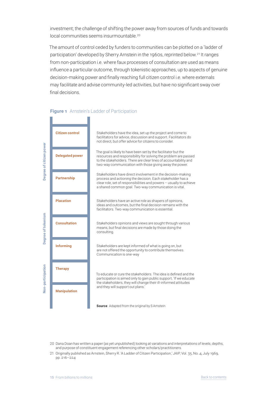investment; the challenge of shifting the power away from sources of funds and towards local communities seems insurmountable.<sup>20</sup>

The amount of control ceded by funders to communities can be plotted on a 'ladder of participation' developed by Sherry Arnstein in the 1960s, reprinted below.21 It ranges from non-participation i.e. where faux processes of consultation are used as means influence a particular outcome, through tokenistic approaches, up to aspects of genuine decision‑making power and finally reaching full citizen control i.e. where externals may facilitate and advise community-led activities, but have no significant sway over final decisions.



#### **Figure 1** Arnstein's Ladder of Participation

20 Dana Doan has written a paper (as yet unpublished) looking at variations and interpretations of levels, depths, and purpose of constituent engagement referencing other scholars/practitioners.

21 Originally published as Arnstein, Sherry R. 'A Ladder of Citizen Participation,' *JAIP*, Vol. 35, No. 4, July 1969, pp. 216–224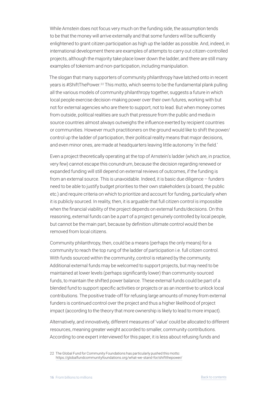While Arnstein does not focus very much on the funding side, the assumption tends to be that the money will arrive externally and that some funders will be sufficiently enlightened to grant citizen participation as high up the ladder as possible. And, indeed, in international development there are examples of attempts to carry out citizen-controlled projects, although the majority take place lower down the ladder, and there are still many examples of tokenism and non-participation, including manipulation.

The slogan that many supporters of community philanthropy have latched onto in recent years is #ShiftThePower.<sup>22</sup> This motto, which seems to be the fundamental plank pulling all the various models of community philanthropy together, suggests a future in which local people exercise decision-making power over their own futures, working with but not for external agencies who are there to support, not to lead. But when money comes from outside, political realities are such that pressure from the public and media in source countries almost always outweighs the influence exerted by recipient countries or communities. However much practitioners on the ground would like to shift the power/ control up the ladder of participation, their political reality means that major decisions, and even minor ones, are made at headquarters leaving little autonomy 'in the field.'

Even a project theoretically operating at the top of Arnstein's ladder (which are, in practice, very few) cannot escape this conundrum, because the decision regarding renewed or expanded funding will still depend on external reviews of outcomes, if the funding is from an external source. This is unavoidable. Indeed, it is basic due diligence – funders need to be able to justify budget priorities to their own stakeholders (a board, the public etc.) and require criteria on which to prioritize and account for funding, particularly when it is publicly sourced. In reality, then, it is arguable that full citizen control is impossible when the financial viability of the project depends on external funds/decisions. On this reasoning, external funds can be a *part* of a project genuinely controlled by local people, but cannot be the main part, because by definition ultimate control would then be removed from local citizens.

Community philanthropy, then, could be a means (perhaps the only means) for a community to reach the top rung of the ladder of participation i.e. full citizen control. With funds sourced within the community, control is retained by the community. Additional external funds may be welcomed to support projects, but may need to be maintained at lower levels (perhaps significantly lower) than community-sourced funds, to maintain the shifted power balance. These external funds could be part of a blended fund to support specific activities or projects or as an incentive to unlock local contributions. The positive trade‑off for refusing large amounts of money from external funders is continued control over the project and thus a higher likelihood of project impact (according to the theory that more ownership is likely to lead to more impact).

Alternatively, and innovatively, different measures of 'value' could be allocated to different resources, meaning greater weight accorded to smaller, community contributions. According to one expert interviewed for this paper, it is less about refusing funds and

<sup>22</sup> The Global Fund for Community Foundations has particularly pushed this motto: https://globalfundcommunityfoundations.org/what-we-stand-for/shiftthepower/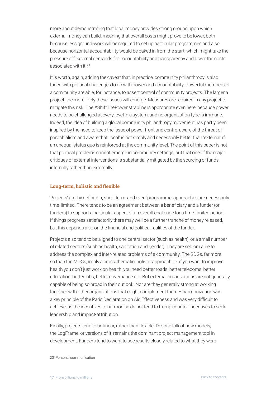<span id="page-16-0"></span>more about demonstrating that local money provides strong ground upon which external money can build, meaning that overall costs might prove to be lower, both because less ground‑work will be required to set up particular programmes and also because horizontal accountability would be baked in from the start, which might take the pressure off external demands for accountability and transparency and lower the costs associated with it.<sup>23</sup>

It is worth, again, adding the caveat that, in practice, community philanthropy is also faced with political challenges to do with power and accountability. Powerful members of a community are able, for instance, to assert control of community projects. The larger a project, the more likely these issues will emerge. Measures are required in any project to mitigate this risk. The #ShiftThePower strapline is appropriate even here, because power needs to be challenged at every level in a system, and no organization type is immune. Indeed, the idea of building a global community philanthropy movement has partly been inspired by the need to keep the issue of power front and centre, aware of the threat of parochialism and aware that 'local' is not simply and necessarily better than 'external' if an unequal status quo is reinforced at the community level. The point of this paper is not that political problems cannot emerge in community settings, but that one of the major critiques of external interventions is substantially mitigated by the sourcing of funds internally rather than externally.

#### **Long‑term, holistic and flexible**

'Projects' are, by definition, short term, and even 'programme' approaches are necessarily time‑limited. There tends to be an agreement between a beneficiary and a funder (or funders) to support a particular aspect of an overall challenge for a time-limited period. If things progress satisfactorily there may well be a further tranche of money released, but this depends also on the financial and political realities of the funder.

Projects also tend to be aligned to one central sector (such as health), or a small number of related sectors (such as health, sanitation and gender). They are seldom able to address the complex and inter-related problems of a community. The SDGs, far more so than the MDGs, imply a cross‑thematic, holistic approach i.e. if you want to improve health you don't just work on health, you need better roads, better telecoms, better education, better jobs, better governance etc. But external organizations are not generally capable of being so broad in their outlook. Nor are they generally strong at working together with other organizations that might complement them – harmonization was a key principle of the Paris Declaration on Aid Effectiveness and was very difficult to achieve, as the incentives to harmonise do not tend to trump counter-incentives to seek leadership and impact‑attribution.

Finally, projects tend to be linear, rather than flexible. Despite talk of new models, the LogFrame, or versions of it, remains the dominant project management tool in development. Funders tend to want to see results closely related to what they were

23 Personal communication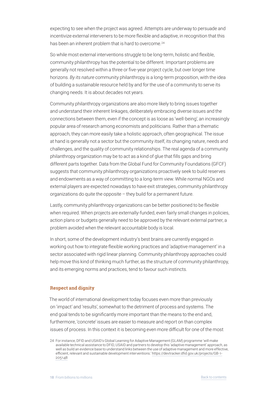<span id="page-17-0"></span>expecting to see when the project was agreed. Attempts are underway to persuade and incentivize external interveners to be more flexible and adaptive, in recognition that this has been an inherent problem that is hard to overcome.<sup>24</sup>

So while most external interventions struggle to be long-term, holistic and flexible, community philanthropy has the potential to be different. Important problems are generally not resolved within a three or five‑year project cycle, but over longer time horizons. *By its nature* community philanthropy is a long-term proposition, with the idea of building a sustainable resource held by and for the use of a community to serve its changing needs. It is about decades not years.

Community philanthropy organizations are also more likely to bring issues together and understand their inherent linkages, deliberately embracing diverse issues and the connections between them, even if the concept is as loose as 'well‑being', an increasingly popular area of research among economists and politicians. Rather than a thematic approach, they can more easily take a holistic approach, often geographical. The issue at hand is generally not a sector but the community itself, its changing nature, needs and challenges, and the quality of community relationships. The real agenda of a community philanthropy organization may be to act as a kind of glue that fills gaps and bring different parts together. Data from the Global Fund for Community Foundations (GFCF) suggests that community philanthropy organizations proactively seek to build reserves and endowments as a way of committing to a long-term view. While normal NGOs and external players are expected nowadays to have exit strategies, community philanthropy organizations do quite the opposite – they build for a permanent future.

Lastly, community philanthropy organizations can be better positioned to be flexible when required. When projects are externally-funded, even fairly small changes in policies, action plans or budgets generally need to be approved by the relevant external partner, a problem avoided when the relevant accountable body is local.

In short, some of the development industry's best brains are currently engaged in working out how to integrate flexible working practices and 'adaptive management' in a sector associated with rigid linear planning. Community philanthropy approaches could help move this kind of thinking much further, as the structure of community philanthropy, and its emerging norms and practices, tend to favour such instincts.

#### **Respect and dignity**

The world of international development today focuses even more than previously on 'impact' and 'results', somewhat to the detriment of process and systems. The end goal tends to be significantly more important than the means to the end and, furthermore, 'concrete' issues are easier to measure and report on than complex issues of process. In this context it is becoming even more difficult for one of the most

<sup>24</sup> For instance, DFID and USAID's Global Learning for Adaptive Management (GLAM) programme 'will make available technical assistance to DFID, USAID and partners to develop this 'adaptive management' approach, as well as build an evidence base to understand links between the use of adaptive management and more effective, efficient, relevant and sustainable development interventions.' https://devtracker.dfid.gov.uk/projects/GB-1-205148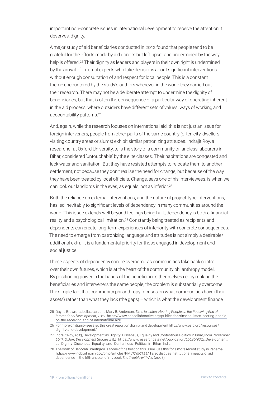important non-concrete issues in international development to receive the attention it deserves: dignity.

A major study of aid beneficiaries conducted in 2012 found that people tend to be grateful for the efforts made by aid donors but left upset and undermined by the way help is offered.<sup>25</sup> Their dignity as leaders and players in their own right is undermined by the arrival of external experts who take decisions about significant interventions without enough consultation of and respect for local people. This is a constant theme encountered by the study's authors wherever in the world they carried out their research. There may not be a deliberate attempt to undermine the dignity of beneficiaries, but that is often the consequence of a particular way of operating inherent in the aid process, where outsiders have different sets of values, ways of working and accountability patterns.26

And, again, while the research focuses on international aid, this is not just an issue for foreign interveners; people from other parts of the same country (often city-dwellers visiting country areas or slums) exhibit similar patronizing attitudes. Indrajit Roy, a researcher at Oxford University, tells the story of a community of landless labourers in Bihar, considered 'untouchable' by the elite classes. Their habitations are congested and lack water and sanitation. But they have resisted attempts to relocate them to another settlement, not because they don't realise the need for change, but because of the way they have been treated by local officials. Change, says one of his interviewees, is when we can look our landlords in the eyes, as equals, not as inferior.<sup>27</sup>

Both the reliance on external interventions, and the nature of project-type interventions, has led inevitably to significant levels of dependency in many communities around the world. This issue extends well beyond feelings being hurt; dependency is both a financial reality and a psychological limitation.28 Constantly being treated as recipients and dependents can create long‑term experiences of inferiority with concrete consequences. The need to emerge from patronizing language and attitudes is not simply a desirable/ additional extra, it is a fundamental priority for those engaged in development and social justice.

These aspects of dependency can be overcome as communities take back control over their own futures, which is at the heart of the community philanthropy model. By positioning power in the hands of the beneficiaries themselves i.e. by making the beneficiaries and interveners the same people, the problem is substantially overcome. The simple fact that community philanthropy focuses on what communities have (their assets) rather than what they lack (the gaps) – which is what the development finance

<sup>25</sup> Dayna Brown, Isabella Jean, and Mary B. Anderson, *Time to Listen, Hearing People on the Receiving End of International Development*, 2012. https://www.cdacollaborative.org/publication/time-to-listen-hearing-peopleon-the-receiving-end-of-international-aid/

<sup>26</sup> For more on dignity see also this great report on dignity and development http://www.psjp.org/resources/ dignity-and-development/

<sup>27</sup> Indrajit Roy, 2013, Development as Dignity: Dissensus, Equality and Contentious Politics in Bihar, India. November 2013, *Oxford Development Studies* 41(4) https://www.researchgate.net/publication/262869332\_Development\_ as\_Dignity\_Dissensus\_Equality\_and\_Contentious\_Politics\_in\_Bihar\_India

<sup>28</sup> The work of Deborah Brautigam is some of the best on this issue. See this for a more recent study in Panama: https://www.ncbi.nlm.nih.gov/pmc/articles/PMC5900722/. I also discuss institutional impacts of aid dependence in the fifth chapter of my book *The Trouble with Aid* (2008).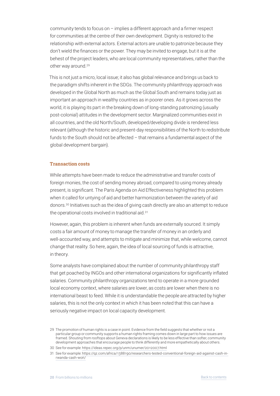<span id="page-19-0"></span>community tends to focus on – implies a different approach and a firmer respect for communities at the centre of their own development. Dignity is restored to the relationship with external actors. External actors are unable to patronize because they don't wield the finances or the power. They may be invited to engage, but it is at the behest of the project leaders, who are local community representatives, rather than the other way around.<sup>29</sup>

This is not just a micro, local issue; it also has global relevance and brings us back to the paradigm shifts inherent in the SDGs. The community philanthropy approach was developed in the Global North as much as the Global South and remains today just as important an approach in wealthy countries as in poorer ones. As it grows across the world, it is playing its part in the breaking down of long-standing patronizing (usually post‑colonial) attitudes in the development sector. Marginalized communities exist in all countries, and the old North/South, developed/developing divide is rendered less relevant (although the historic and present-day responsibilities of the North to redistribute funds to the South should not be affected – that remains a fundamental aspect of the global development bargain).

#### **Transaction costs**

While attempts have been made to reduce the administrative and transfer costs of foreign monies, the cost of sending money abroad, compared to using money already present, is significant. The Paris Agenda on Aid Effectiveness highlighted this problem when it called for untying of aid and better harmonization between the variety of aid donors.30 Initiatives such as the idea of giving cash directly are also an attempt to reduce the operational costs involved in traditional aid.31

However, again, this problem is inherent when funds are externally sourced. It simply costs a fair amount of money to manage the transfer of money in an orderly and well-accounted way, and attempts to mitigate and minimize that, while welcome, cannot change that reality. So here, again, the idea of local sourcing of funds is attractive, in theory.

Some analysts have complained about the number of community philanthropy staff that get poached by INGOs and other international organizations for significantly inflated salaries. Community philanthropy organizations tend to operate in a more grounded local economy context, where salaries are lower, as costs are lower when there is no international beast to feed. While it is understandable the people are attracted by higher salaries, this is not the only context in which it has been noted that this can have a seriously negative impact on local capacity development.

<sup>29</sup> The promotion of human rights is a case in point. Evidence from the field suggests that whether or not a particular group or community supports a human rights framing comes down in large part to how issues are framed. Shouting from rooftops about Geneva declarations is likely to be less effective than softer, community development approaches that encourage people to think differently and more empathetically about others.

<sup>30</sup> See for example: https://ideas.repec.org/p/unm/unumer/2012007.html

<sup>31</sup> See for example: https://qz.com/africa/1388190/researchers-tested-conventional-foreign-aid-against-cash-inrwanda-cash-won/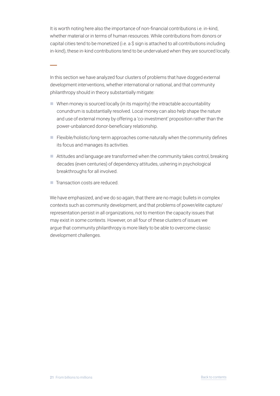It is worth noting here also the importance of non-financial contributions i.e. in-kind, whether material or in terms of human resources. While contributions from donors or capital cities tend to be monetized (i.e. a \$ sign is attached to all contributions including in-kind), these in-kind contributions tend to be undervalued when they are sourced locally.

In this section we have analyzed four clusters of problems that have dogged external development interventions, whether international or national, and that community philanthropy should in theory substantially mitigate:

- $\blacksquare$  When money is sourced locally (in its majority) the intractable accountability conundrum is substantially resolved. Local money can also help shape the nature and use of external money by offering a 'co-investment' proposition rather than the power‑unbalanced donor‑beneficiary relationship.
- $\blacksquare$  Flexible/holistic/long-term approaches come naturally when the community defines its focus and manages its activities.
- $\blacksquare$  Attitudes and language are transformed when the community takes control, breaking decades (even centuries) of dependency attitudes, ushering in psychological breakthroughs for all involved.
- Transaction costs are reduced.

 **–**

We have emphasized, and we do so again, that there are no magic bullets in complex contexts such as community development, and that problems of power/elite capture/ representation persist in all organizations, not to mention the capacity issues that may exist in some contexts. However, on all four of these clusters of issues we argue that community philanthropy is more likely to be able to overcome classic development challenges.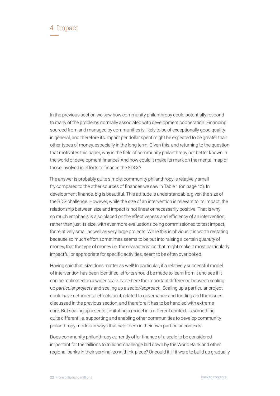<span id="page-21-0"></span>In the previous section we saw how community philanthropy could potentially respond to many of the problems normally associated with development cooperation. Financing sourced from and managed by communities is likely to be of exceptionally good quality in general, and therefore its impact per dollar spent might be expected to be greater than other types of money, especially in the long term. Given this, and returning to the question that motivates this paper, why is the field of community philanthropy not better known in the world of development finance? And how could it make its mark on the mental map of those involved in efforts to finance the SDGs?

The answer is probably quite simple: community philanthropy is relatively small fry compared to the other sources of finances we saw in Table 1 (on page 10). In development finance, big is beautiful. This attitude is understandable, given the size of the SDG challenge. However, while the size of an intervention is relevant to its impact, the relationship between size and impact is not linear or necessarily positive. That is why so much emphasis is also placed on the effectiveness and efficiency of an intervention, rather than just its size, with ever more evaluations being commissioned to test impact, for relatively small as well as very large projects. While this is obvious it is worth restating because so much effort sometimes seems to be put into raising a certain *quantity* of money, that the type of money i.e. the characteristics that might make it most particularly impactful or appropriate for specific activities, seem to be often overlooked.

Having said that, size does matter as well! In particular, if a relatively successful model of intervention has been identified, efforts should be made to learn from it and see if it can be replicated on a wider scale. Note here the important difference between scaling up *particular projects* and scaling up a *sector/approach*. Scaling up a particular project could have detrimental effects on it, related to governance and funding and the issues discussed in the previous section, and therefore it has to be handled with extreme care. But scaling up a sector, imitating a model in a different context, is something quite different i.e. supporting and enabling other communities to develop community philanthropy models in ways that help them in their own particular contexts.

Does community philanthropy currently offer finance of a scale to be considered important for the 'billions to trillions' challenge laid down by the World Bank and other regional banks in their seminal 2015 think-piece? Or could it, if it were to build up gradually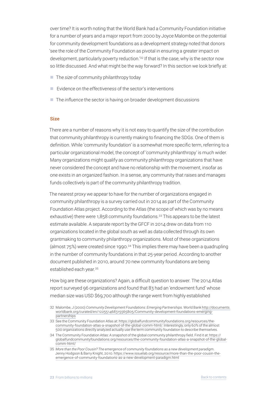<span id="page-22-0"></span>over time? It is worth noting that the World Bank had a Community Foundation initiative for a number of years and a major report from 2000 by Joyce Malombe on the potential for community development foundations as a development strategy noted that donors 'see the role of the Community Foundation as pivotal in ensuring a greater impact on development, particularly poverty reduction.'32 If that is the case, why is the sector now so little discussed. And what might be the way forward? In this section we look briefly at:

- The *size* of community philanthropy today
- Evidence on the *effectiveness* of the sector's interventions
- The *influence* the sector is having on broader development discussions

#### **Size**

There are a number of reasons why it is not easy to quantify the size of the contribution that community philanthropy is currently making to financing the SDGs. One of them is definition. While 'community foundation' is a somewhat more specific term, referring to a particular organizational model, the concept of 'community philanthropy' is much wider. Many organizations might qualify as community philanthropy organizations that have never considered the concept and have no relationship with the movement, insofar as one exists in an organized fashion. In a sense, any community that raises and manages funds collectively is part of the community philanthropy tradition.

The nearest proxy we appear to have for the number of organizations engaged in community philanthropy is a survey carried out in 2014 as part of the Community Foundation Atlas project. According to the Atlas (the scope of which was by no means exhaustive) there were 1,858 community foundations.<sup>33</sup> This appears to be the latest estimate available. A separate report by the GFCF in 2014 drew on data from 110 organizations located in the global south as well as data collected through its own grantmaking to community philanthropy organizations. Most of these organizations (almost  $75%$ ) were created since 1990.<sup>34</sup> This implies there may have been a quadrupling in the number of community foundations in that 25‑year period. According to another document published in 2010, around 70 new community foundations are being established each year.<sup>35</sup>

How big are these organizations? Again, a difficult question to answer. The 2014 Atlas report surveyed 96 organizations and found that 83 had an 'endowment fund' whose median size was USD \$69,700 although the range went from highly established

<sup>32</sup> Malombe, J (2000) *Community Development Foundations: Emerging Partnerships*. World Bank http://documents. worldbank.org/curated/en/122551468315565805/Community-development-foundations-emergingpartnerships

<sup>33</sup> See the Community Foundation Atlas at: https://globalfundcommunityfoundations.org/resources/thecommunity-foundation-atlas-a-snapshot-of-the-global-comm-html/. Interestingly, only 60% of the almost 500 organizations directly analyzed actually use the term community foundation to describe themselves.

<sup>34</sup> The Community Foundation Atlas: A snapshot of the global community philanthropy field. Find it at: https:// globalfundcommunityfoundations.org/resources/the-community-foundation-atlas-a-snapshot-of-the-globalcomm-html/

<sup>35</sup> *More than the Poor Cousin? The emergence of community foundations as a new development paradigm*. Jenny Hodgson & Barry Knight, 2010. https://www.issuelab.org/resource/more-than-the-poor-cousin-theemergence-of-community-foundations-as-a-new-development-paradigm.html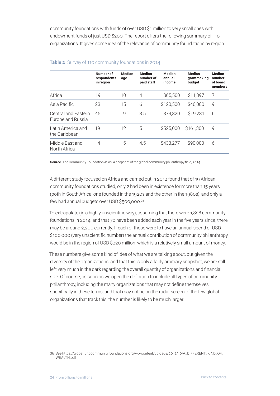community foundations with funds of over USD \$1 million to very small ones with endowment funds of just USD \$200. The report offers the following summary of 110 organizations. It gives some idea of the relevance of community foundations by region.

|                                          | Number of<br>respondents<br>in region | Median<br>age | Median<br>number of<br>paid staff | Median<br>annual<br>income | Median<br>grantmaking<br>budget | Median<br>number<br>of board<br>members |
|------------------------------------------|---------------------------------------|---------------|-----------------------------------|----------------------------|---------------------------------|-----------------------------------------|
| Africa                                   | 19                                    | 10            | $\overline{4}$                    | \$65,500                   | \$11,397                        | 7                                       |
| Asia Pacific                             | 23                                    | 15            | 6                                 | \$120,500                  | \$40,000                        | 9                                       |
| Central and Fastern<br>Europe and Russia | 45                                    | 9             | 3.5                               | \$74,820                   | \$19,231                        | 6                                       |
| Latin America and<br>the Caribbean       | 19                                    | 12            | 5                                 | \$525,000                  | \$161,300                       | 9                                       |
| Middle East and<br>North Africa          | 4                                     | 5             | 4.5                               | \$433,277                  | \$90,000                        | 6                                       |

#### **Table 2** Survey of 110 community foundations in 2014

**Source** The Community Foundation Atlas: A snapshot of the global community philanthropy field, 2014

A different study focused on Africa and carried out in 2012 found that of 19 African community foundations studied, only 2 had been in existence for more than 15 years (both in South Africa, one founded in the 1920s and the other in the 1980s), and only a few had annual budgets over USD \$500,000.36

To extrapolate (in a highly unscientific way), assuming that there were 1,858 community foundations in 2014, and that 70 have been added each year in the five years since, there may be around 2,200 currently. If each of those were to have an annual spend of USD \$100,000 (very unscientific number) the annual contribution of community philanthropy would be in the region of USD \$220 million, which is a relatively small amount of money.

These numbers give some kind of idea of what we are talking about, but given the diversity of the organizations, and that this is only a fairly arbitrary snapshot, we are still left very much in the dark regarding the overall quantity of organizations and financial size. Of course, as soon as we open the definition to include all types of community philanthropy, including the many organizations that may not define themselves specifically in these terms, and that may not be on the radar screen of the few global organizations that track this, the number is likely to be much larger.

<sup>36</sup> See https://globalfundcommunityfoundations.org/wp-content/uploads/2012/10/A\_DIFFERENT\_KIND\_OF\_ WEALTH.pdf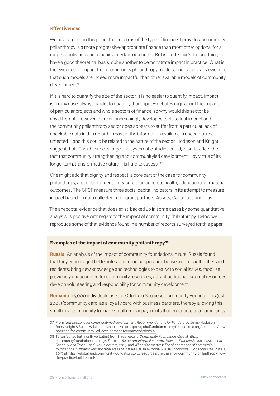#### <span id="page-24-0"></span>**Effectiveness**

We have argued in this paper that in terms of the type of finance it provides, community philanthropy is a more progressive/appropriate finance than most other options, for a range of activities and to achieve certain outcomes. But is it effective? It is one thing to have a good theoretical basis, quite another to demonstrate impact in practice. What is the evidence of impact from community philanthropy models, and is there any evidence that such models are indeed more impactful than other available models of community development?

If it is hard to quantify the size of the sector, it is no easier to quantify impact. Impact is, in any case, always harder to quantify than input – debates rage about the impact of particular projects and whole sectors of finance, so why would this sector be any different. However, there are increasingly developed tools to test impact and the community philanthropy sector does appears to suffer from a particular lack of checkable data in this regard – most of the information available is anecdotal and untested – and this could be related to the nature of the sector. Hodgson and Knight suggest that, 'The absence of large and systematic studies could, in part, reflect the fact that community strengthening and communityled development – by virtue of its longerterm, transformative nature  $-$  is hard to assess.<sup>'37</sup>

One might add that dignity and respect, a core part of the case for community philanthropy, are much harder to measure than concrete health, educational or material outcomes. The GFCF measure three social capital indicators in its attempt to measure impact based on data collected from grant partners: Assets, Capacities and Trust.

The anecdotal evidence that does exist, backed up in some cases by some quantitative analysis, is positive with regard to the impact of community philanthropy. Below we reproduce some of that evidence found in a number of reports surveyed for this paper.

#### **Examples of the impact of community philanthropy38**

**Russia** An analysis of the impact of community foundations in rural Russia found that they encouraged better interaction and cooperation between local authorities and residents, bring new knowledge and technologies to deal with social issues, mobilize previously unaccounted for community resources, attract additional external resources, develop volunteering and responsibility for community development.

**Romania** 13,000 individuals use the Odorheiu Secuiesc Community Foundation's (est. 2007) 'community card' as a loyalty card with business partners, thereby allowing this small rural community to make small regular payments that contribute to a community

<sup>37</sup> From *New horizons for community‑led development, Recommendations for Funders*, by Jenny Hodgson, Barry Knight & Susan Wilkinson-Maposa. 2019 https://globalfundcommunityfoundations.org/resources/newhorizons-for-community-led-development-recommendations-f/

<sup>38</sup> Taken (edited but mostly verbatim) from three reports: *Community Foundation Atlas* at http:// communityfoundationatlas.org/; *The case for community philanthropy, How the Practice Builds Local Assets, Capacity, and Trust — and Why It Matters*, 2013; and *When size matters: The phenomenon of community foundations in small towns and rural areas of Russia*, Larisa Avrorina & Yulia Khodorova – Moscow: CAF Russia, 2017 at https://globalfundcommunityfoundations.org/resources/the-case-for-community-philanthropy-howthe-practice-builds-html/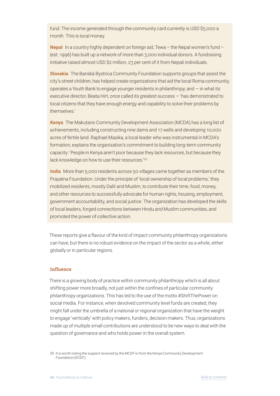<span id="page-25-0"></span>fund. The income generated through the community card currently is USD \$5,000 a month. This is local money.

**Nepal** In a country highly dependent on foreign aid, Tewa – the Nepal women's fund – (est. 1996) has built up a network of more than 3,000 individual donors. A fundraising initiative raised almost USD \$2 million, 23 per cent of it from Nepali individuals.

**Slovakia** The Banská Bystrica Community Foundation supports groups that assist the city's street children, has helped create organizations that aid the local Roma community, operates a Youth Bank to engage younger residents in philanthropy, and — in what its executive director, Beata Hirt, once called its greatest success — 'has demonstrated to local citizens that they have enough energy and capability to solve their problems by themselves.'

**Kenya** The Makutano Community Development Association (MCDA) has a long list of achievements, including constructing nine dams and 17 wells and developing 10,000 acres of fertile land. Raphael Masika, a local leader who was instrumental in MCDA's formation, explains the organization's commitment to building long-term community capacity: 'People in Kenya aren't poor because they lack resources, but because they lack knowledge on how to use their resources.'39

**India** More than 5,000 residents across 50 villages came together as members of the Prayatna Foundation. Under the principle of 'local ownership of local problems,' they mobilized residents, mostly Dalit and Muslim, to contribute their time, food, money, and other resources to successfully advocate for human rights, housing, employment, government accountability, and social justice. The organization has developed the skills of local leaders, forged connections between Hindu and Muslim communities, and promoted the power of collective action.

These reports give a flavour of the kind of impact community philanthropy organizations can have, but there is no robust evidence on the impact of the sector as a whole, either globally or in particular regions.

#### **Influence**

There is a growing body of practice within community philanthropy which is all about shifting power more broadly, not just within the confines of particular community philanthropy organizations. This has led to the use of the motto #ShiftThePower on social media. For instance, when devolved community level funds are created, they might fall under the umbrella of a national or regional organization that have the weight to engage 'vertically' with policy makers, funders, decision makers. Thus, organizations made up of multiple small contributions are understood to be new ways to deal with the question of governance and who holds power in the overall system.

39 It is worth noting the support received by the MCDF is from the Kenya Community Development Foundation (KCDF).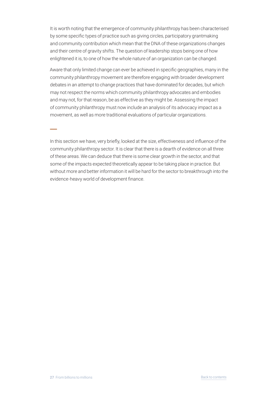It is worth noting that the emergence of community philanthropy has been characterised by some specific types of practice such as giving circles, participatory grantmaking and community contribution which mean that the DNA of these organizations changes and their centre of gravity shifts. The question of leadership stops being one of how enlightened it is, to one of how the whole nature of an organization can be changed.

Aware that only limited change can ever be achieved in specific geographies, many in the community philanthropy movement are therefore engaging with broader development debates in an attempt to change practices that have dominated for decades, but which may not respect the norms which community philanthropy advocates and embodies and may not, for that reason, be as effective as they might be. Assessing the impact of community philanthropy must now include an analysis of its advocacy impact as a movement, as well as more traditional evaluations of particular organizations.

In this section we have, very briefly, looked at the size, effectiveness and influence of the community philanthropy sector. It is clear that there is a dearth of evidence on all three of these areas. We can deduce that there is some clear growth in the sector, and that some of the impacts expected theoretically appear to be taking place in practice. But without more and better information it will be hard for the sector to breakthrough into the evidence-heavy world of development finance.

 **–**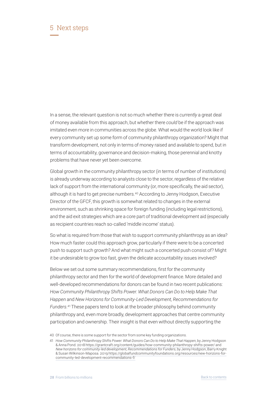### <span id="page-27-0"></span>5 Next steps  **—**

In a sense, the relevant question is not so much whether there is *currently* a great deal of money available from this approach, but whether there *could* be if the approach was imitated even more in communities across the globe. What would the world look like if every community set up some form of community philanthropy organization? Might that transform development, not only in terms of money raised and available to spend, but in terms of accountability, governance and decision-making, those perennial and knotty problems that have never yet been overcome.

Global growth in the community philanthropy sector (in terms of number of institutions) is already underway according to analysts close to the sector, regardless of the relative lack of support from the international community (or, more specifically, the aid sector), although it is hard to get precise numbers.<sup>40</sup> According to Jenny Hodgson, Executive Director of the GFCF, this growth is somewhat related to changes in the external environment, such as shrinking space for foreign funding (including legal restrictions), and the aid exit strategies which are a core part of traditional development aid (especially as recipient countries reach so-called 'middle income' status).

So what is required from those that wish to support community philanthropy as an idea? How much faster could this approach grow, particularly if there were to be a concerted push to support such growth? And what might such a concerted push consist of? Might it be undesirable to grow too fast, given the delicate accountability issues involved?

Below we set out some summary recommendations, first for the community philanthropy sector and then for the world of development finance. More detailed and well-developed recommendations for donors can be found in two recent publications: *How Community Philanthropy Shifts Power. What Donors Can Do to Help Make That Happen* and *New Horizons for Community‑Led Development, Recommendations for Funders*. <sup>41</sup> These papers tend to look at the broader philosophy behind community philanthropy and, even more broadly, development approaches that centre community participation and ownership. Their insight is that even without directly supporting the

<sup>40</sup> Of course, there is some support for the sector from some key funding organizations.

<sup>41</sup> *How Community Philanthropy Shifts Power. What Donors Can Do to Help Make That Happen*, by Jenny Hodgson & Anna Pond. 2018 https://grantcraft.org/content/guides/how-community-philanthropy-shifts-power/ and *New horizons for community-led development, Recommendations for Funders*, by Jenny Hodgson, Barry Knight & Susan Wilkinson‑Maposa. 2019 https://globalfundcommunityfoundations.org/resources/new-horizons-forcommunity-led-development-recommendations-f/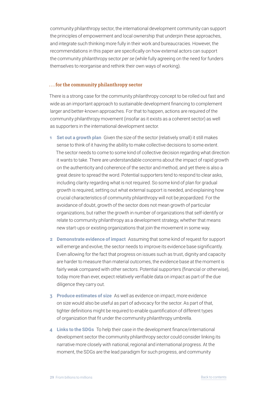<span id="page-28-0"></span>community philanthropy sector, the international development community can support the principles of empowerment and local ownership that underpin these approaches, and integrate such thinking more fully in their work and bureaucracies. However, the recommendations in this paper are specifically on how external actors can support the community philanthropy sector *per se* (while fully agreeing on the need for funders themselves to reorganise and rethink their own ways of working).

#### **. . . for the community philanthropy sector**

There is a strong case for the community philanthropy concept to be rolled out fast and wide as an important approach to sustainable development financing to complement larger and better-known approaches. For that to happen, actions are required of the community philanthropy movement (insofar as it exists as a coherent sector) as well as supporters in the international development sector.

- **1 Set out a growth plan** Given the size of the sector (relatively small) it still makes sense to think of it having the ability to make collective decisions to some extent. The sector needs to come to some kind of collective decision regarding what direction it wants to take. There are understandable concerns about the impact of rapid growth on the authenticity and coherence of the sector and method, and yet there is also a great desire to spread the word. Potential supporters tend to respond to clear asks, including clarity regarding what is not required. So some kind of plan for gradual growth is required, setting out what external support is needed, and explaining how crucial characteristics of community philanthropy will not be jeopardized. For the avoidance of doubt, growth of the sector does not mean growth of particular organizations, but rather the growth in number of organizations that self‑identify or relate to community philanthropy as a development strategy, whether that means new start-ups or existing organizations that join the movement in some way.
- **2 Demonstrate evidence of impact** Assuming that some kind of request for support will emerge and evolve, the sector needs to improve its evidence base significantly. Even allowing for the fact that progress on issues such as trust, dignity and capacity are harder to measure than material outcomes, the evidence base at the moment is fairly weak compared with other sectors. Potential supporters (financial or otherwise), today more than ever, expect relatively verifiable data on impact as part of the due diligence they carry out.
- **3 Produce estimates of size** As well as evidence on impact, more evidence on size would also be useful as part of advocacy for the sector. As part of that, tighter definitions might be required to enable quantification of different types of organization that fit under the community philanthropy umbrella.
- **4 Links to the SDGs** To help their case in the development finance/international development sector the community philanthropy sector could consider linking its narrative more closely with national, regional and international progress. At the moment, the SDGs are the lead paradigm for such progress, and community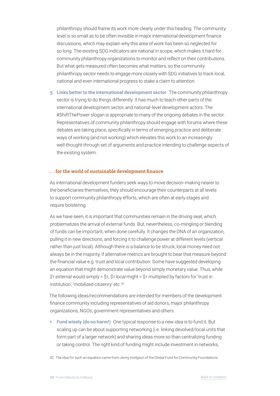<span id="page-29-0"></span>philanthropy should frame its work more clearly under this heading. The community level is so small as to be often invisible in major international development finance discussions, which may explain why this area of work has been so neglected for so long. The existing SDG indicators are national in scope, which makes it hard for community philanthropy organizations to monitor and reflect on their contributions. But what gets measured often becomes what matters, so the community philanthropy sector needs to engage more closely with SDG initiatives to track local, national and even international progress to stake a claim to attention.

**5 Links better to the international development sector** The community philanthropy sector is trying to do things differently. It has much to teach other parts of the international development sector, and national-level development actors. The #ShiftThePower slogan is appropriate to many of the ongoing debates in the sector. Representatives of community philanthropy should engage with forums where these debates are taking place, specifically in terms of emerging practice and deliberate ways of working (and not working) which elevates this work to an increasingly well-thought-through set of arguments and practice intending to challenge aspects of the existing system.

#### **. . . for the world of sustainable development finance**

As international development funders seek ways to move decision-making nearer to the beneficiaries themselves, they should encourage their counterparts at all levels to support community philanthropy efforts, which are often at early stages and require bolstering.

As we have seen, it is important that communities remain in the driving seat, which problematizes the arrival of external funds. But, nevertheless, co‑mingling or blending of funds can be important, when done carefully. It changes the DNA of an organization, pulling it in new directions, and forcing it to challenge power at different levels (vertical rather than just local). Although there is a balance to be struck, local money need not always be in the majority, if alternative metrics are brought to bear that measure beyond the financial value e.g. trust and local contribution. Some have suggested developing an equation that might demonstrate value beyond simply monetary value. Thus, while *\$1 external* would simply = \$1, *\$1 local* might = \$1 multiplied by factors for 'trust in institution', 'mobilized citizenry' etc.42

The following ideas/recommendations are intended for members of the development finance community including representatives of aid donors, major philanthropy organizations, NGOs, government representatives and others.

**1 Fund wisely (do no harm!)** One typical response to a new idea is to fund it. But scaling up can be about supporting networking (i.e. linking devolved/local units that form part of a larger network) and sharing ideas more so than centralizing funding or taking control. The right kind of funding might include investment in networks,

42 The idea for such an equation came from Jenny Hodgson of the Global Fund for Community Foundations.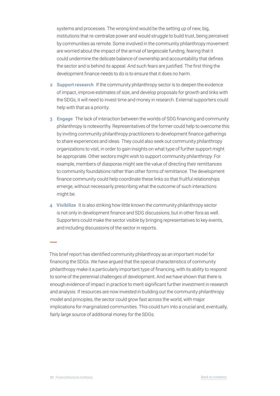systems and processes. The wrong kind would be the setting up of new, big, institutions that re‑centralize power and would struggle to build trust, being perceived by communities as remote. Some involved in the community philanthropy movement are worried about the impact of the arrival of largescale funding, fearing that it could undermine the delicate balance of ownership and accountability that defines the sector and is behind its appeal. And such fears are justified. The first thing the development finance needs to do is to ensure that it does no harm.

- **2 Support research** If the community philanthropy sector is to deepen the evidence of impact, improve estimates of size, and develop proposals for growth and links with the SDGs, it will need to invest time and money in research. External supporters could help with that as a priority.
- **3 Engage** The lack of interaction between the worlds of SDG financing and community philanthropy is noteworthy. Representatives of the former could help to overcome this by inviting community philanthropy practitioners to development finance gatherings to share experiences and ideas. They could also seek out community philanthropy organizations to visit, in order to gain insights on what type of further support might be appropriate. Other sectors might wish to support community philanthropy. For example, members of diasporas might see the value of directing their remittances to community foundations rather than other forms of remittance. The development finance community could help coordinate these links so that fruitful relationships emerge, without necessarily prescribing what the outcome of such interactions might be.
- **4 Visibilize** It is also striking how little known the community philanthropy sector is not only in development finance and SDG discussions, but in other fora as well. Supporters could make the sector visible by bringing representatives to key events, and including discussions of the sector in reports.

This brief report has identified community philanthropy as an important model for financing the SDGs. We have argued that the special characteristics of community philanthropy make it a particularly important type of financing, with its ability to respond to some of the perennial challenges of development. And we have shown that there is enough evidence of impact in practice to merit significant further investment in research and analysis. If resources are now invested in building out the community philanthropy model and principles, the sector could grow fast across the world, with major implications for marginalized communities. This could turn into a crucial and, eventually, fairly large source of additional money for the SDGs.

 **–**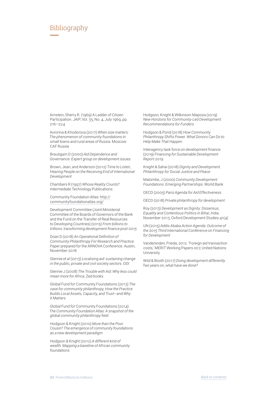### <span id="page-31-0"></span>Bibliography  **—**

Arnstein, Sherry R. (1969) A Ladder of Citizen Participation. *JAIP*, Vol. 35, No. 4, July 1969, pp. 216–224

Avrorina & Khodorova (2017) *When size matters: The phenomenon of community foundations in small towns and rural areas of Russia*. Moscow: CAF Russia

Brautigam D (2000) *Aid Dependence and Governance. Expert group on development issues*.

Brown, Jean, and Anderson (2012) *Time to Listen, Hearing People on the Receiving End of International Development*

Chambers R (1997) *Whose Reality Counts?* Intermediate Technology Publications

Community Foundation Atlas: http:// communityfoundationatlas.org/

Development Committee (Joint Ministerial Committee of the Boards of Governors of the Bank and the Fund on the Transfer of Real Resources to Developing Countries) (2015) *From billions to trillions: transforming development finance post‑2015*

Doan D (2018) *An Operational Definition of Community Philanthropy For Research and Practice*. Paper prepared for the ARNOVA Conference. Austin, November 2018.

Glennie *et al* (2013) *Localising aid: sustaining change in the public, private and civil society sectors*. ODI

Glennie J (2008) *The Trouble with Aid: Why less could mean more for Africa*. Zed books

Global Fund for Community Foundations (2013) *The case for community philanthropy, How the Practice Builds Local Assets, Capacity, and Trust—and Why It Matters*

Global Fund for Community Foundations (2014) *The Community Foundation Atlas: A snapshot of the global community philanthropy field*

Hodgson & Knight (2010) *More than the Poor Cousin? The emergence of community foundations as a new development paradigm*

Hodgson & Knight (2012) *A different kind of wealth: Mapping a baseline of African community foundations*

Hodgson, Knight & Wilkinson‑Maposa (2019) *New Horizons for Community‑Led Development: Recommendations for Funders*

Hodgson & Pond (2018) *How Community Philanthropy Shifts Power. What Donors Can Do to Help Make That Happen*

Interagency task force on development finance (2019) *Financing for Sustainable Development Report 2019*

Knight & Sahai (2018) *Dignity and Development. Philanthropy for Social Justice and Peace*

Malombe, J (2000) *Community Development Foundations: Emerging Partnerships*. World Bank

OECD (2005) *Paris Agenda for Aid Effectiveness*

OECD (2018) *Private philanthropy for development*

Roy (2013) *Development as Dignity: Dissensus, Equality and Contentious Politics in Bihar, India*. November 2013, Oxford Development Studies 41(4)

UN (2015) *Addis Ababa Action Agenda: Outcome of the 2015 Third International Conference on Financing for Development*

Vandeninden, Frieda, 2012. 'Foreign aid transaction costs,' MERIT Working Papers 007, United Nations **University** 

Wild & Booth (2017) *Doing development differently Two years on, what have we done?*